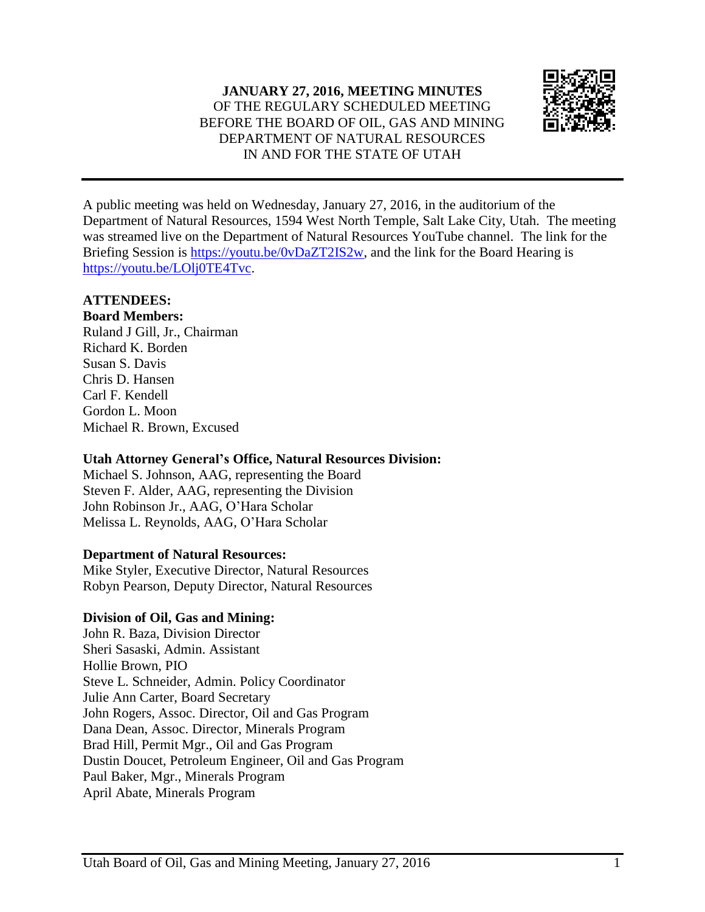

A public meeting was held on Wednesday, January 27, 2016, in the auditorium of the Department of Natural Resources, 1594 West North Temple, Salt Lake City, Utah. The meeting was streamed live on the Department of Natural Resources YouTube channel. The link for the Briefing Session is [https://youtu.be/0vDaZT2IS2w,](https://youtu.be/0vDaZT2IS2w) and the link for the Board Hearing is [https://youtu.be/LOlj0TE4Tvc.](https://youtu.be/LOlj0TE4Tvc)

# **ATTENDEES:**

**Board Members:** Ruland J Gill, Jr., Chairman Richard K. Borden Susan S. Davis Chris D. Hansen Carl F. Kendell Gordon L. Moon Michael R. Brown, Excused

## **Utah Attorney General's Office, Natural Resources Division:**

Michael S. Johnson, AAG, representing the Board Steven F. Alder, AAG, representing the Division John Robinson Jr., AAG, O'Hara Scholar Melissa L. Reynolds, AAG, O'Hara Scholar

## **Department of Natural Resources:**

Mike Styler, Executive Director, Natural Resources Robyn Pearson, Deputy Director, Natural Resources

## **Division of Oil, Gas and Mining:**

John R. Baza, Division Director Sheri Sasaski, Admin. Assistant Hollie Brown, PIO Steve L. Schneider, Admin. Policy Coordinator Julie Ann Carter, Board Secretary John Rogers, Assoc. Director, Oil and Gas Program Dana Dean, Assoc. Director, Minerals Program Brad Hill, Permit Mgr., Oil and Gas Program Dustin Doucet, Petroleum Engineer, Oil and Gas Program Paul Baker, Mgr., Minerals Program April Abate, Minerals Program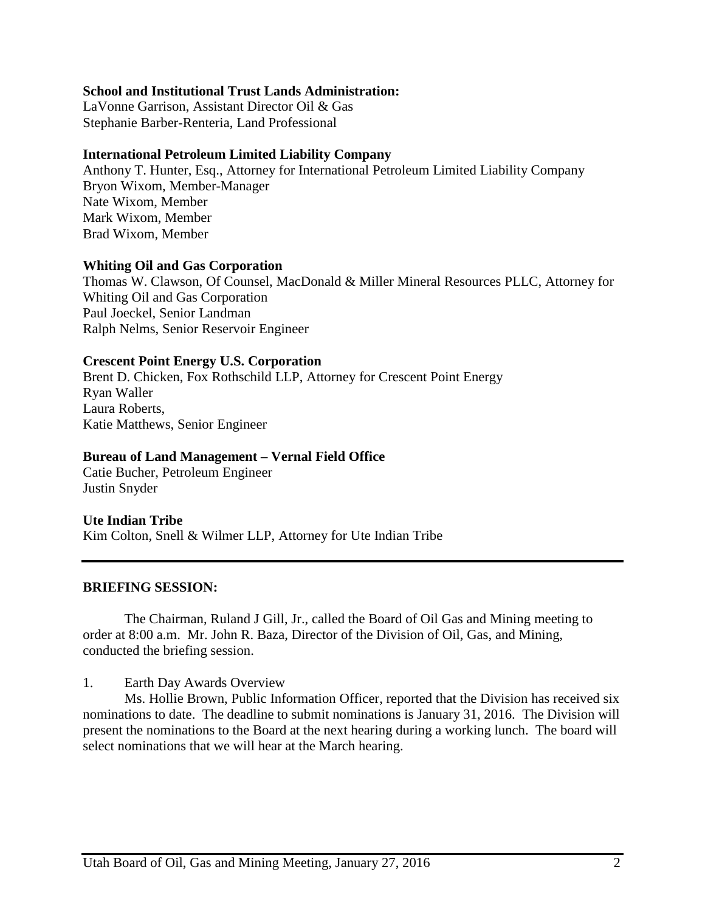#### **School and Institutional Trust Lands Administration:**

LaVonne Garrison, Assistant Director Oil & Gas Stephanie Barber-Renteria, Land Professional

#### **International Petroleum Limited Liability Company**

Anthony T. Hunter, Esq., Attorney for International Petroleum Limited Liability Company Bryon Wixom, Member-Manager Nate Wixom, Member Mark Wixom, Member Brad Wixom, Member

#### **Whiting Oil and Gas Corporation**

Thomas W. Clawson, Of Counsel, MacDonald & Miller Mineral Resources PLLC, Attorney for Whiting Oil and Gas Corporation Paul Joeckel, Senior Landman Ralph Nelms, Senior Reservoir Engineer

#### **Crescent Point Energy U.S. Corporation**

Brent D. Chicken, Fox Rothschild LLP, Attorney for Crescent Point Energy Ryan Waller Laura Roberts, Katie Matthews, Senior Engineer

#### **Bureau of Land Management – Vernal Field Office**

Catie Bucher, Petroleum Engineer Justin Snyder

#### **Ute Indian Tribe**

Kim Colton, Snell & Wilmer LLP, Attorney for Ute Indian Tribe

#### **BRIEFING SESSION:**

The Chairman, Ruland J Gill, Jr., called the Board of Oil Gas and Mining meeting to order at 8:00 a.m. Mr. John R. Baza, Director of the Division of Oil, Gas, and Mining, conducted the briefing session.

1. Earth Day Awards Overview

Ms. Hollie Brown, Public Information Officer, reported that the Division has received six nominations to date. The deadline to submit nominations is January 31, 2016. The Division will present the nominations to the Board at the next hearing during a working lunch. The board will select nominations that we will hear at the March hearing.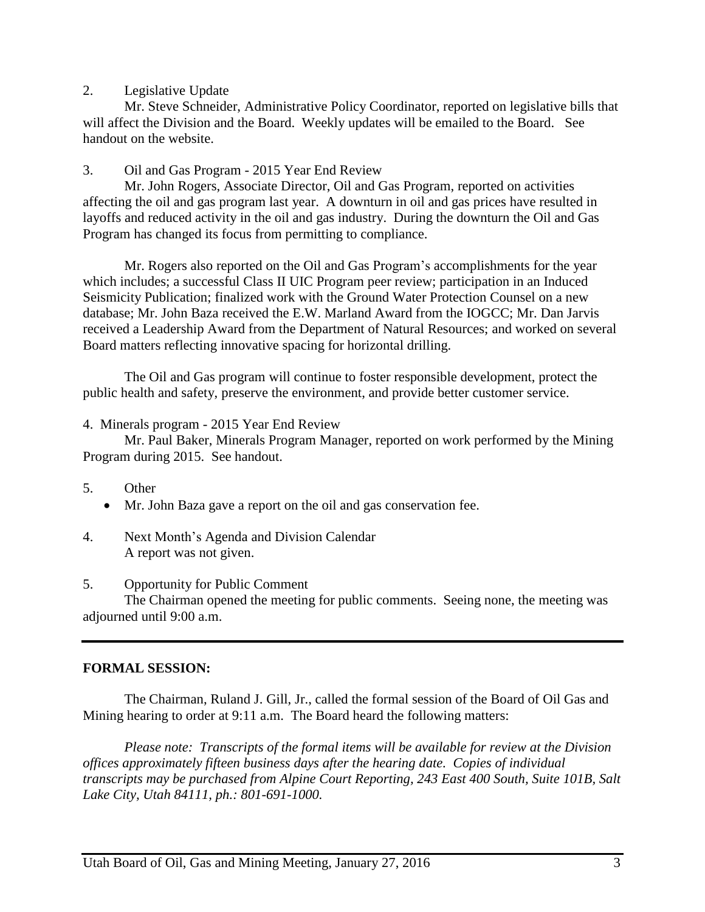### 2. Legislative Update

Mr. Steve Schneider, Administrative Policy Coordinator, reported on legislative bills that will affect the Division and the Board. Weekly updates will be emailed to the Board. See handout on the website.

## 3. Oil and Gas Program - 2015 Year End Review

Mr. John Rogers, Associate Director, Oil and Gas Program, reported on activities affecting the oil and gas program last year. A downturn in oil and gas prices have resulted in layoffs and reduced activity in the oil and gas industry. During the downturn the Oil and Gas Program has changed its focus from permitting to compliance.

Mr. Rogers also reported on the Oil and Gas Program's accomplishments for the year which includes; a successful Class II UIC Program peer review; participation in an Induced Seismicity Publication; finalized work with the Ground Water Protection Counsel on a new database; Mr. John Baza received the E.W. Marland Award from the IOGCC; Mr. Dan Jarvis received a Leadership Award from the Department of Natural Resources; and worked on several Board matters reflecting innovative spacing for horizontal drilling.

The Oil and Gas program will continue to foster responsible development, protect the public health and safety, preserve the environment, and provide better customer service.

#### 4. Minerals program - 2015 Year End Review

Mr. Paul Baker, Minerals Program Manager, reported on work performed by the Mining Program during 2015. See handout.

- 5. Other
	- Mr. John Baza gave a report on the oil and gas conservation fee.
- 4. Next Month's Agenda and Division Calendar A report was not given.

#### 5. Opportunity for Public Comment

The Chairman opened the meeting for public comments. Seeing none, the meeting was adjourned until 9:00 a.m.

## **FORMAL SESSION:**

The Chairman, Ruland J. Gill, Jr., called the formal session of the Board of Oil Gas and Mining hearing to order at 9:11 a.m. The Board heard the following matters:

*Please note: Transcripts of the formal items will be available for review at the Division offices approximately fifteen business days after the hearing date. Copies of individual transcripts may be purchased from Alpine Court Reporting, 243 East 400 South, Suite 101B, Salt Lake City, Utah 84111, ph.: 801-691-1000.*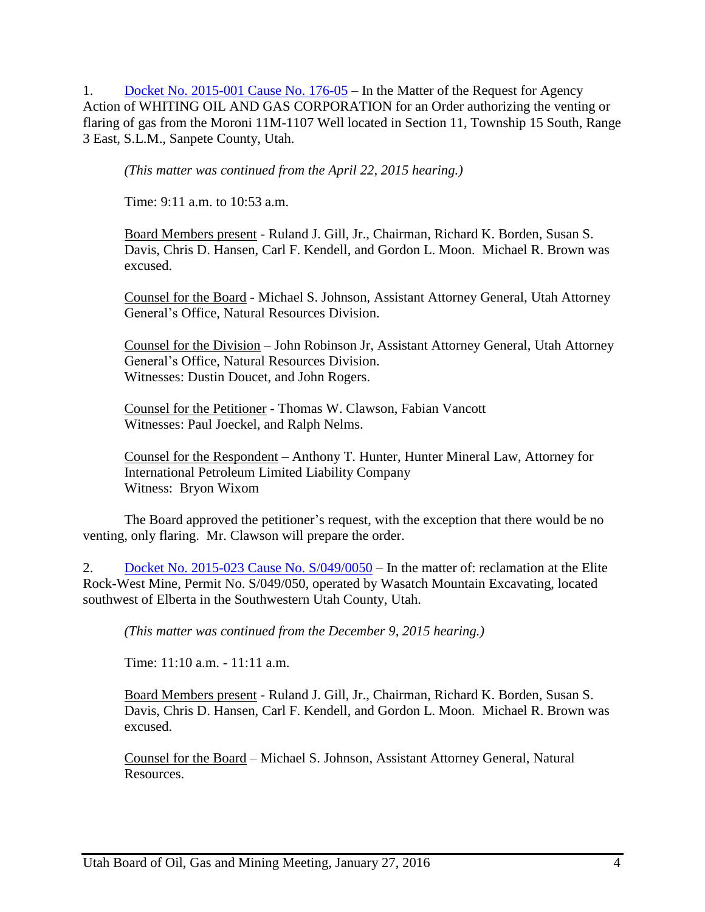1. Docket No. [2015-001](http://ogm.utah.gov/amr/boardtemp/redesign/2016/01_Jan/Dockets/2015-001_176-05_Whiting.php) Cause No. 176-05 – In the Matter of the Request for Agency Action of WHITING OIL AND GAS CORPORATION for an Order authorizing the venting or flaring of gas from the Moroni 11M-1107 Well located in Section 11, Township 15 South, Range 3 East, S.L.M., Sanpete County, Utah.

*(This matter was continued from the April 22, 2015 hearing.)*

Time: 9:11 a.m. to 10:53 a.m.

Board Members present - Ruland J. Gill, Jr., Chairman, Richard K. Borden, Susan S. Davis, Chris D. Hansen, Carl F. Kendell, and Gordon L. Moon. Michael R. Brown was excused.

Counsel for the Board - Michael S. Johnson, Assistant Attorney General, Utah Attorney General's Office, Natural Resources Division.

Counsel for the Division – John Robinson Jr, Assistant Attorney General, Utah Attorney General's Office, Natural Resources Division. Witnesses: Dustin Doucet, and John Rogers.

Counsel for the Petitioner - Thomas W. Clawson, Fabian Vancott Witnesses: Paul Joeckel, and Ralph Nelms.

Counsel for the Respondent – Anthony T. Hunter, Hunter Mineral Law, Attorney for International Petroleum Limited Liability Company Witness: Bryon Wixom

The Board approved the petitioner's request, with the exception that there would be no venting, only flaring. Mr. Clawson will prepare the order.

2. Docket No. 2015-023 Cause No.  $S/049/0050$  – In the matter of: reclamation at the Elite Rock-West Mine, Permit No. S/049/050, operated by Wasatch Mountain Excavating, located southwest of Elberta in the Southwestern Utah County, Utah.

*(This matter was continued from the December 9, 2015 hearing.)*

Time: 11:10 a.m. - 11:11 a.m.

Board Members present - Ruland J. Gill, Jr., Chairman, Richard K. Borden, Susan S. Davis, Chris D. Hansen, Carl F. Kendell, and Gordon L. Moon. Michael R. Brown was excused.

Counsel for the Board – Michael S. Johnson, Assistant Attorney General, Natural Resources.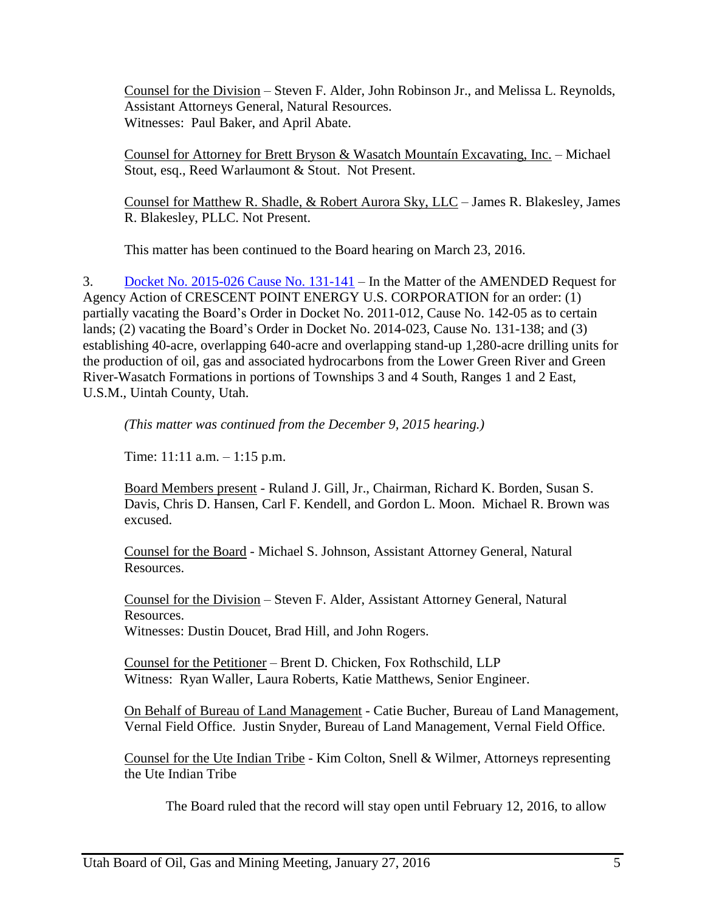Counsel for the Division – Steven F. Alder, John Robinson Jr., and Melissa L. Reynolds, Assistant Attorneys General, Natural Resources. Witnesses: Paul Baker, and April Abate.

Counsel for Attorney for Brett Bryson & Wasatch Mountaín Excavating, Inc. – Michael Stout, esq., Reed Warlaumont & Stout. Not Present.

Counsel for Matthew R. Shadle, & Robert Aurora Sky, LLC – James R. Blakesley, James R. Blakesley, PLLC. Not Present.

This matter has been continued to the Board hearing on March 23, 2016.

3. Docket No. [2015-026](http://ogm.utah.gov/amr/boardtemp/redesign/2016/01_Jan/Dockets/2015-026_131-141_Crescent.php) Cause No. 131-141 – In the Matter of the AMENDED Request for Agency Action of CRESCENT POINT ENERGY U.S. CORPORATION for an order: (1) partially vacating the Board's Order in Docket No. 2011-012, Cause No. 142-05 as to certain lands; (2) vacating the Board's Order in Docket No. 2014-023, Cause No. 131-138; and (3) establishing 40-acre, overlapping 640-acre and overlapping stand-up 1,280-acre drilling units for the production of oil, gas and associated hydrocarbons from the Lower Green River and Green River-Wasatch Formations in portions of Townships 3 and 4 South, Ranges 1 and 2 East, U.S.M., Uintah County, Utah.

*(This matter was continued from the December 9, 2015 hearing.)*

Time: 11:11 a.m. – 1:15 p.m.

Board Members present - Ruland J. Gill, Jr., Chairman, Richard K. Borden, Susan S. Davis, Chris D. Hansen, Carl F. Kendell, and Gordon L. Moon. Michael R. Brown was excused.

Counsel for the Board - Michael S. Johnson, Assistant Attorney General, Natural Resources.

Counsel for the Division – Steven F. Alder, Assistant Attorney General, Natural Resources. Witnesses: Dustin Doucet, Brad Hill, and John Rogers.

Counsel for the Petitioner – Brent D. Chicken, Fox Rothschild, LLP Witness: Ryan Waller, Laura Roberts, Katie Matthews, Senior Engineer.

On Behalf of Bureau of Land Management - Catie Bucher, Bureau of Land Management, Vernal Field Office. Justin Snyder, Bureau of Land Management, Vernal Field Office.

Counsel for the Ute Indian Tribe - Kim Colton, Snell & Wilmer, Attorneys representing the Ute Indian Tribe

The Board ruled that the record will stay open until February 12, 2016, to allow